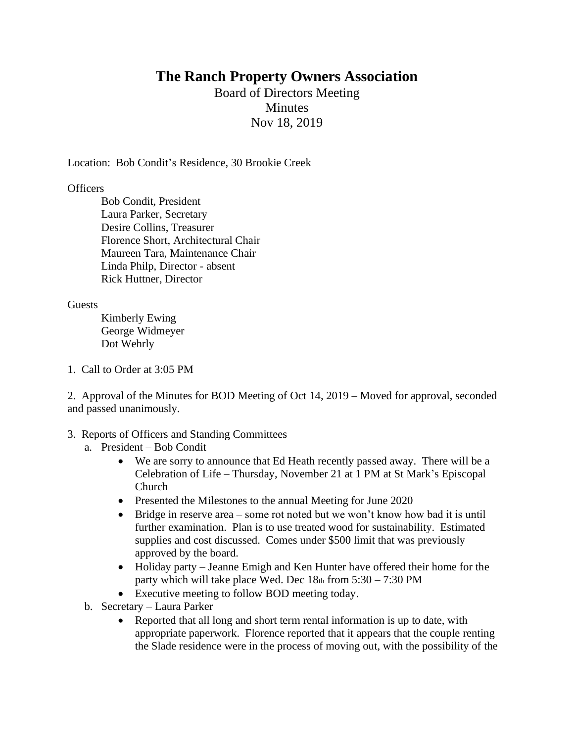## **The Ranch Property Owners Association**

Board of Directors Meeting **Minutes** Nov 18, 2019

Location: Bob Condit's Residence, 30 Brookie Creek

## **Officers**

Bob Condit, President Laura Parker, Secretary Desire Collins, Treasurer Florence Short, Architectural Chair Maureen Tara, Maintenance Chair Linda Philp, Director - absent Rick Huttner, Director

## **Guests**

Kimberly Ewing George Widmeyer Dot Wehrly

1. Call to Order at 3:05 PM

2. Approval of the Minutes for BOD Meeting of Oct 14, 2019 – Moved for approval, seconded and passed unanimously.

## 3. Reports of Officers and Standing Committees

- a. President Bob Condit
	- We are sorry to announce that Ed Heath recently passed away. There will be a Celebration of Life – Thursday, November 21 at 1 PM at St Mark's Episcopal Church
	- Presented the Milestones to the annual Meeting for June 2020
	- Bridge in reserve area some rot noted but we won't know how bad it is until further examination. Plan is to use treated wood for sustainability. Estimated supplies and cost discussed. Comes under \$500 limit that was previously approved by the board.
	- Holiday party Jeanne Emigh and Ken Hunter have offered their home for the party which will take place Wed. Dec  $18<sub>th</sub>$  from  $5:30 - 7:30$  PM
	- Executive meeting to follow BOD meeting today.
- b. Secretary Laura Parker
	- Reported that all long and short term rental information is up to date, with appropriate paperwork. Florence reported that it appears that the couple renting the Slade residence were in the process of moving out, with the possibility of the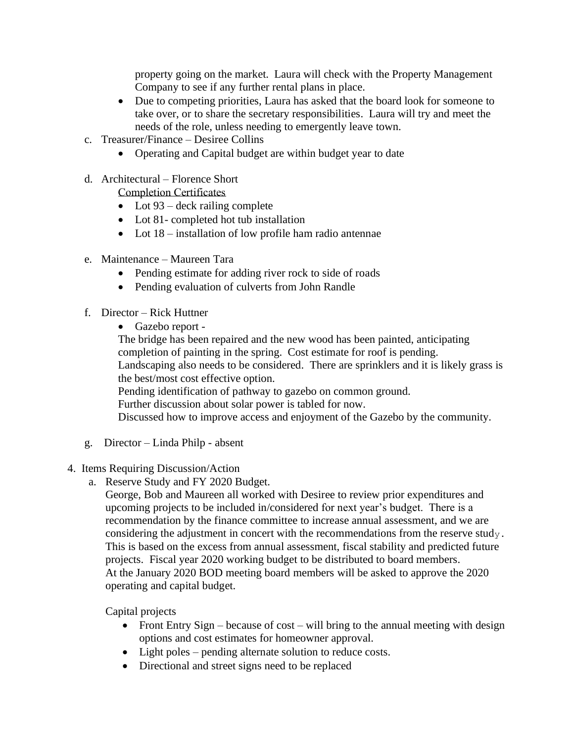property going on the market. Laura will check with the Property Management Company to see if any further rental plans in place.

- Due to competing priorities, Laura has asked that the board look for someone to take over, or to share the secretary responsibilities. Laura will try and meet the needs of the role, unless needing to emergently leave town.
- c. Treasurer/Finance Desiree Collins
	- Operating and Capital budget are within budget year to date
- d. Architectural Florence Short

Completion Certificates

- Lot  $93$  deck railing complete
- Lot 81- completed hot tub installation
- Lot 18 installation of low profile ham radio antennae
- e. Maintenance Maureen Tara
	- Pending estimate for adding river rock to side of roads
	- Pending evaluation of culverts from John Randle
- f. Director Rick Huttner
	- Gazebo report -

The bridge has been repaired and the new wood has been painted, anticipating completion of painting in the spring. Cost estimate for roof is pending. Landscaping also needs to be considered. There are sprinklers and it is likely grass is the best/most cost effective option. Pending identification of pathway to gazebo on common ground. Further discussion about solar power is tabled for now.

Discussed how to improve access and enjoyment of the Gazebo by the community.

- g. Director Linda Philp absent
- 4. Items Requiring Discussion/Action
	- a. Reserve Study and FY 2020 Budget.

George, Bob and Maureen all worked with Desiree to review prior expenditures and upcoming projects to be included in/considered for next year's budget. There is a recommendation by the finance committee to increase annual assessment, and we are considering the adjustment in concert with the recommendations from the reserve study. This is based on the excess from annual assessment, fiscal stability and predicted future projects. Fiscal year 2020 working budget to be distributed to board members. At the January 2020 BOD meeting board members will be asked to approve the 2020 operating and capital budget.

Capital projects

- Front Entry Sign because of cost will bring to the annual meeting with design options and cost estimates for homeowner approval.
- Light poles pending alternate solution to reduce costs.
- Directional and street signs need to be replaced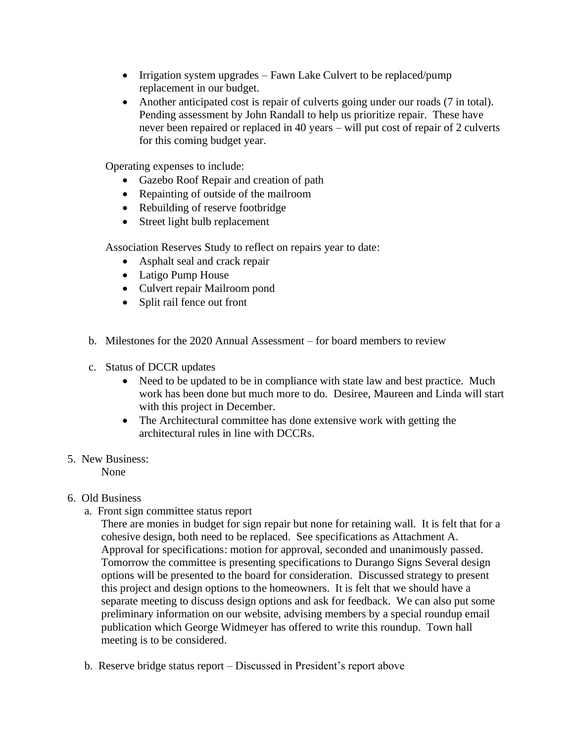- Irrigation system upgrades Fawn Lake Culvert to be replaced/pump replacement in our budget.
- Another anticipated cost is repair of culverts going under our roads (7 in total). Pending assessment by John Randall to help us prioritize repair. These have never been repaired or replaced in 40 years – will put cost of repair of 2 culverts for this coming budget year.

Operating expenses to include:

- Gazebo Roof Repair and creation of path
- Repainting of outside of the mailroom
- Rebuilding of reserve footbridge
- Street light bulb replacement

Association Reserves Study to reflect on repairs year to date:

- Asphalt seal and crack repair
- Latigo Pump House
- Culvert repair Mailroom pond
- Split rail fence out front
- b. Milestones for the 2020 Annual Assessment for board members to review
- c. Status of DCCR updates
	- Need to be updated to be in compliance with state law and best practice. Much work has been done but much more to do. Desiree, Maureen and Linda will start with this project in December.
	- The Architectural committee has done extensive work with getting the architectural rules in line with DCCRs.
- 5. New Business:

None

- 6. Old Business
	- a. Front sign committee status report

There are monies in budget for sign repair but none for retaining wall. It is felt that for a cohesive design, both need to be replaced. See specifications as Attachment A. Approval for specifications: motion for approval, seconded and unanimously passed. Tomorrow the committee is presenting specifications to Durango Signs Several design options will be presented to the board for consideration. Discussed strategy to present this project and design options to the homeowners. It is felt that we should have a separate meeting to discuss design options and ask for feedback. We can also put some preliminary information on our website, advising members by a special roundup email publication which George Widmeyer has offered to write this roundup. Town hall meeting is to be considered.

b. Reserve bridge status report – Discussed in President's report above